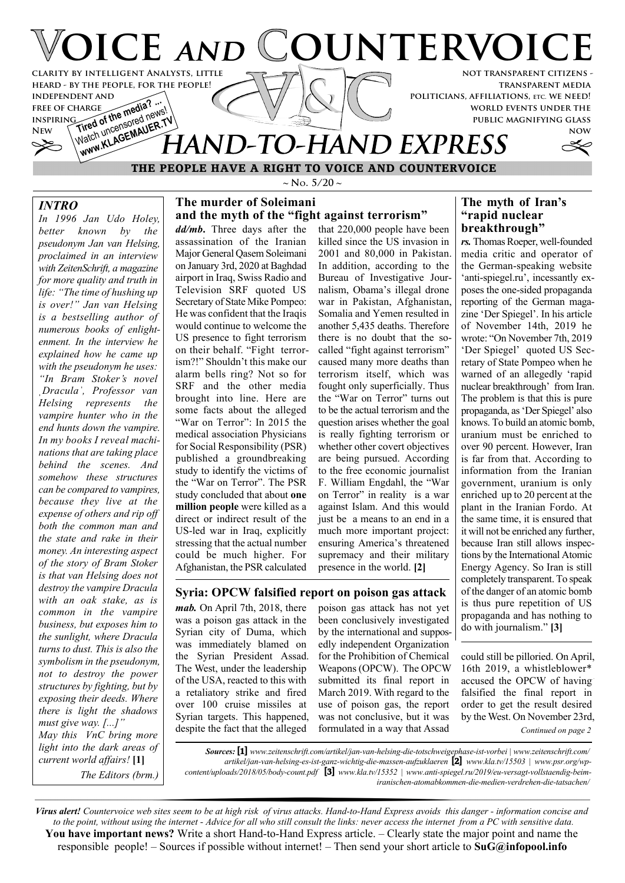

### **THE PEOPLE HAVE A RIGHT TO VOICE AND COUNTERVOICE**

#### *INTRO*

*In 1996 Jan Udo Holey, better known by the pseudonym Jan van Helsing, proclaimed in an interview with ZeitenSchrift, a magazine for more quality and truth in life: "The time of hushing up is over!" Jan van Helsing is a bestselling author of numerous books of enlightenment. In the interview he explained how he came up with the pseudonym he uses: "In Bram Stoker's novel ˌDraculaˈ, Professor van Helsing represents the vampire hunter who in the end hunts down the vampire. In my books I reveal machinations that are taking place behind the scenes. And somehow these structures can be compared to vampires, because they live at the expense of others and rip off both the common man and the state and rake in their money. An interesting aspect of the story of Bram Stoker is that van Helsing does not destroy the vampire Dracula with an oak stake, as is common in the vampire business, but exposes him to the sunlight, where Dracula turns to dust. This is also the symbolism in the pseudonym, not to destroy the power structures by fighting, but by exposing their deeds. Where there is light the shadows must give way. [...]" May this VnC bring more light into the dark areas of current world affairs!* **[1]** *The Editors (brm.)*

 $\sim$  **N**<sub>o</sub>. 5/20  $\sim$ 

#### **The murder of Soleimani and the myth of the "fight against terrorism"**

*dd/mb***.** Three days after the assassination of the Iranian Major General Qasem Soleimani on January 3rd, 2020 at Baghdad airport in Iraq, Swiss Radio and Television SRF quoted US Secretary of State Mike Pompeo: He was confident that the Iraqis would continue to welcome the US presence to fight terrorism on their behalf. "Fight terrorism?!" Shouldn't this make our alarm bells ring? Not so for SRF and the other media brought into line. Here are some facts about the alleged "War on Terror": In 2015 the medical association Physicians for Social Responsibility (PSR) published a groundbreaking study to identify the victims of the "War on Terror". The PSR study concluded that about **one million people** were killed as a direct or indirect result of the US-led war in Iraq, explicitly stressing that the actual number could be much higher. For Afghanistan, the PSR calculated

that 220,000 people have been killed since the US invasion in 2001 and 80,000 in Pakistan. In addition, according to the Bureau of Investigative Journalism, Obama's illegal drone war in Pakistan, Afghanistan, Somalia and Yemen resulted in another 5,435 deaths. Therefore there is no doubt that the socalled "fight against terrorism" caused many more deaths than terrorism itself, which was fought only superficially. Thus the "War on Terror" turns out to be the actual terrorism and the question arises whether the goal is really fighting terrorism or whether other covert objectives are being pursued. According to the free economic journalist F. William Engdahl, the "War on Terror" in reality is a war against Islam. And this would just be a means to an end in a much more important project: ensuring America's threatened supremacy and their military presence in the world. **[2]**

# zine 'Der Spiegel'. In his article

of November 14th, 2019 he wrote: "On November 7th, 2019 'Der Spiegel' quoted US Secretary of State Pompeo when he warned of an allegedly 'rapid nuclear breakthrough' from Iran. The problem is that this is pure propaganda, as 'Der Spiegel' also knows. To build an atomic bomb, uranium must be enriched to over 90 percent. However, Iran is far from that. According to information from the Iranian government, uranium is only enriched up to 20 percent at the plant in the Iranian Fordo. At the same time, it is ensured that it will not be enriched any further, because Iran still allows inspections by the International Atomic Energy Agency. So Iran is still completely transparent. To speak of the danger of an atomic bomb is thus pure repetition of US propaganda and has nothing to do with journalism." **[3]**

**The myth of Iran's "rapid nuclear breakthrough"**

*rs.* Thomas Roeper, well-founded media critic and operator of the German-speaking website 'anti-spiegel.ru', incessantly exposes the one-sided propaganda reporting of the German maga-

#### **Syria: OPCW falsified report on poison gas attack**

*mab.* On April 7th, 2018, there was a poison gas attack in the Syrian city of Duma, which was immediately blamed on the Syrian President Assad. The West, under the leadership of the USA, reacted to this with a retaliatory strike and fired over 100 cruise missiles at Syrian targets. This happened, despite the fact that the alleged

poison gas attack has not yet been conclusively investigated by the international and supposedly independent Organization for the Prohibition of Chemical Weapons (OPCW). The OPCW submitted its final report in March 2019. With regard to the use of poison gas, the report was not conclusive, but it was formulated in a way that Assad

*Continued on page 2* could still be pilloried. On April, 16th 2019, a whistleblower\* accused the OPCW of having falsified the final report in order to get the result desired by the West. On November 23rd,

*Sources:* **[1]** *www.zeitenschrift.com/artikel/jan-van-helsing-die-totschweigephase-ist-vorbei | www.zeitenschrift.com/ artikel/jan-van-helsing-es-ist-ganz-wichtig-die-massen-aufzuklaeren* **[2]** *www.kla.tv/15503 | www.psr.org/wpcontent/uploads/2018/05/body-count.pdf* **[3]** *www.kla.tv/15352 | www.anti-spiegel.ru/2019/eu-versagt-vollstaendig-beimiranischen-atomabkommen-die-medien-verdrehen-die-tatsachen/*

*Virus alert! Countervoice web sites seem to be at high risk of virus attacks. Hand-to-Hand Express avoids this danger - information concise and to the point, without using the internet - Advice for all who still consult the links: never access the internet from a PC with sensitive data.* **You have important news?** Write a short Hand-to-Hand Express article. – Clearly state the major point and name the responsible people! – Sources if possible without internet! – Then send your short article to **SuG@infopool.info**